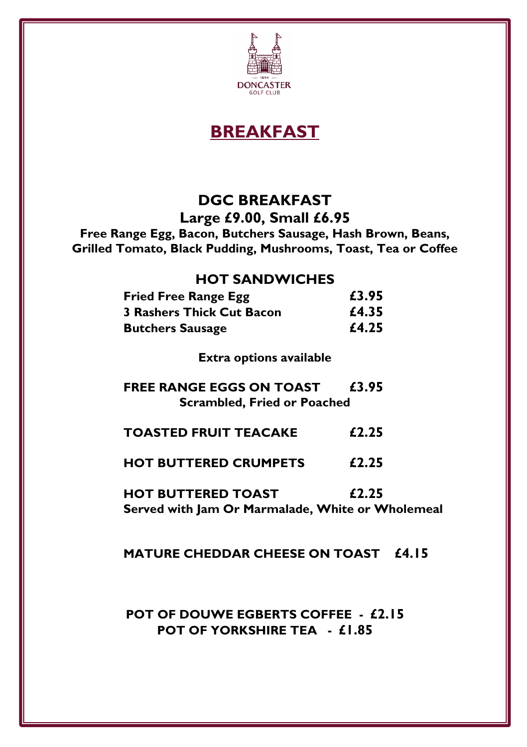

**BREAKFAST**

## **DGC BREAKFAST**

**Large £9.00, Small £6.95**

**Free Range Egg, Bacon, Butchers Sausage, Hash Brown, Beans, Grilled Tomato, Black Pudding, Mushrooms, Toast, Tea or Coffee**

#### **HOT SANDWICHES**

| <b>Fried Free Range Egg</b>      | £3.95 |
|----------------------------------|-------|
| <b>3 Rashers Thick Cut Bacon</b> | £4.35 |
| <b>Butchers Sausage</b>          | £4.25 |

**Extra options available**

- **FREE RANGE EGGS ON TOAST £3.95 Scrambled, Fried or Poached**
- **TOASTED FRUIT TEACAKE £2.25**
- **HOT BUTTERED CRUMPETS £2.25**

**HOT BUTTERED TOAST £2.25 Served with Jam Or Marmalade, White or Wholemeal** 

#### **MATURE CHEDDAR CHEESE ON TOAST £4.15**

#### **POT OF DOUWE EGBERTS COFFEE - £2.15 POT OF YORKSHIRE TEA - £1.85**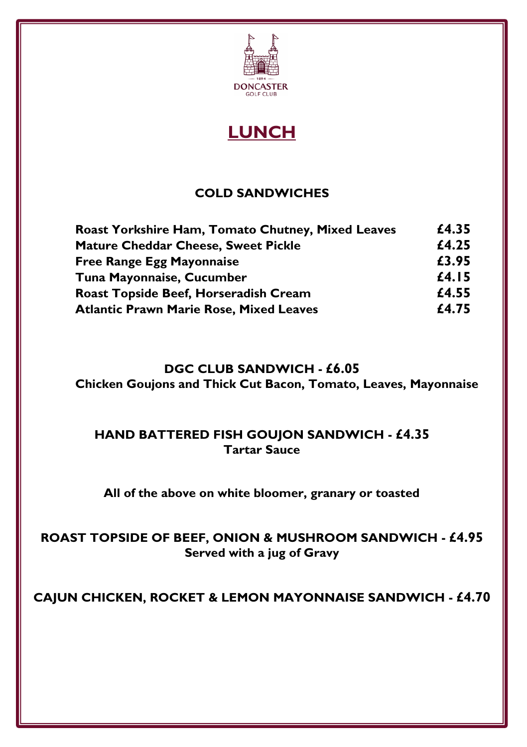

**LUNCH**

#### **COLD SANDWICHES**

| Roast Yorkshire Ham, Tomato Chutney, Mixed Leaves | £4.35 |
|---------------------------------------------------|-------|
| <b>Mature Cheddar Cheese, Sweet Pickle</b>        | £4.25 |
| <b>Free Range Egg Mayonnaise</b>                  | £3.95 |
| Tuna Mayonnaise, Cucumber                         | £4.15 |
| Roast Topside Beef, Horseradish Cream             | £4.55 |
| <b>Atlantic Prawn Marie Rose, Mixed Leaves</b>    | £4.75 |

#### **DGC CLUB SANDWICH - £6.05**

**Chicken Goujons and Thick Cut Bacon, Tomato, Leaves, Mayonnaise**

#### **HAND BATTERED FISH GOUJON SANDWICH - £4.35 Tartar Sauce**

**All of the above on white bloomer, granary or toasted**

#### **ROAST TOPSIDE OF BEEF, ONION & MUSHROOM SANDWICH - £4.95 Served with a jug of Gravy**

**CAJUN CHICKEN, ROCKET & LEMON MAYONNAISE SANDWICH - £4.70**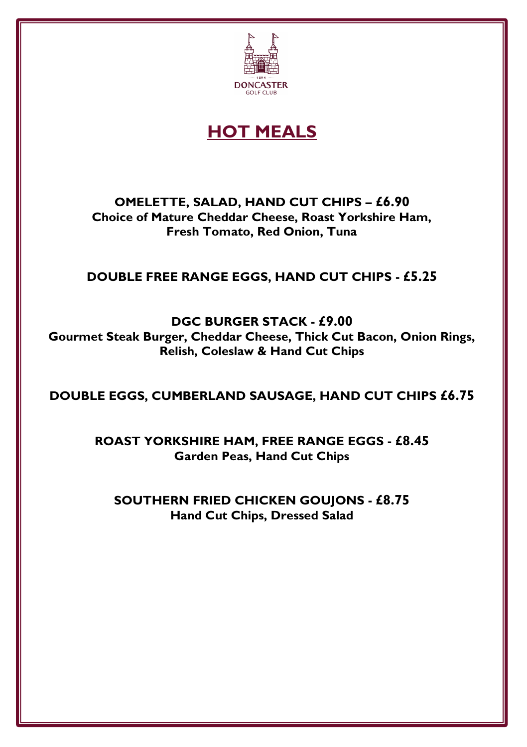

## **HOT MEALS**

**OMELETTE, SALAD, HAND CUT CHIPS – £6.90 Choice of Mature Cheddar Cheese, Roast Yorkshire Ham, Fresh Tomato, Red Onion, Tuna**

#### **DOUBLE FREE RANGE EGGS, HAND CUT CHIPS - £5.25**

**DGC BURGER STACK - £9.00 Gourmet Steak Burger, Cheddar Cheese, Thick Cut Bacon, Onion Rings, Relish, Coleslaw & Hand Cut Chips**

**DOUBLE EGGS, CUMBERLAND SAUSAGE, HAND CUT CHIPS £6.75**

**ROAST YORKSHIRE HAM, FREE RANGE EGGS - £8.45 Garden Peas, Hand Cut Chips**

**SOUTHERN FRIED CHICKEN GOUJONS - £8.75 Hand Cut Chips, Dressed Salad**